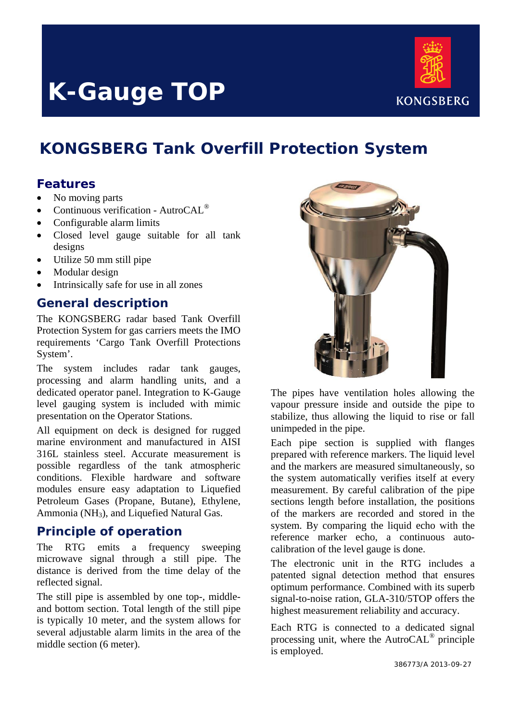# **K-Gauge TOP**



# **KONGSBERG Tank Overfill Protection System**

### **Features**

- No moving parts
- Continuous verification AutroCAL®
- Configurable alarm limits
- Closed level gauge suitable for all tank designs
- Utilize 50 mm still pipe
- Modular design
- Intrinsically safe for use in all zones

#### **General description**

The KONGSBERG radar based Tank Overfill Protection System for gas carriers meets the IMO requirements 'Cargo Tank Overfill Protections System'.

The system includes radar tank gauges, processing and alarm handling units, and a dedicated operator panel. Integration to K-Gauge level gauging system is included with mimic presentation on the Operator Stations.

All equipment on deck is designed for rugged marine environment and manufactured in AISI 316L stainless steel. Accurate measurement is possible regardless of the tank atmospheric conditions. Flexible hardware and software modules ensure easy adaptation to Liquefied Petroleum Gases (Propane, Butane), Ethylene, Ammonia (NH3), and Liquefied Natural Gas.

#### **Principle of operation**

The RTG emits a frequency sweeping microwave signal through a still pipe. The distance is derived from the time delay of the reflected signal.

The still pipe is assembled by one top-, middleand bottom section. Total length of the still pipe is typically 10 meter, and the system allows for several adjustable alarm limits in the area of the middle section (6 meter).



The pipes have ventilation holes allowing the vapour pressure inside and outside the pipe to stabilize, thus allowing the liquid to rise or fall unimpeded in the pipe.

Each pipe section is supplied with flanges prepared with reference markers. The liquid level and the markers are measured simultaneously, so the system automatically verifies itself at every measurement. By careful calibration of the pipe sections length before installation, the positions of the markers are recorded and stored in the system. By comparing the liquid echo with the reference marker echo, a continuous autocalibration of the level gauge is done.

The electronic unit in the RTG includes a patented signal detection method that ensures optimum performance. Combined with its superb signal-to-noise ration, GLA-310/5TOP offers the highest measurement reliability and accuracy.

Each RTG is connected to a dedicated signal processing unit, where the AutroCAL® principle is employed.